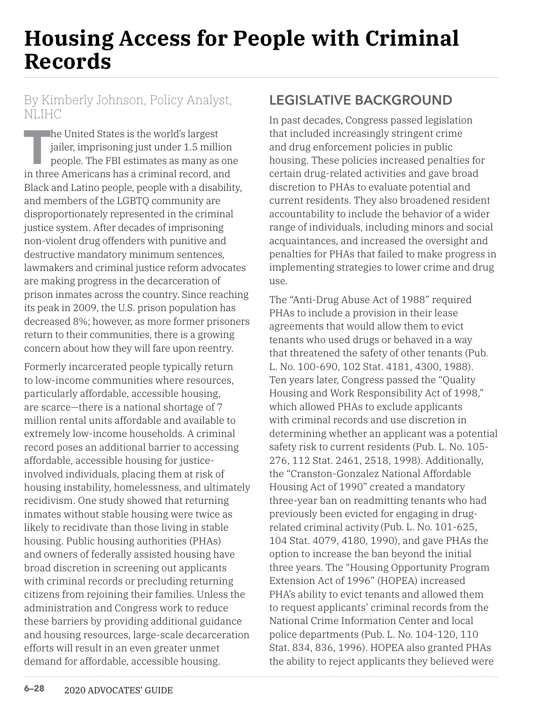# **Housing Access for People with Criminal Records**

### By Kimberly Johnson, Policy Analyst, NLIHC

The United States is the world's largest<br>jailer, imprisoning just under 1.5 milli<br>people. The FBI estimates as many as<br>in three Americans has a criminal record. an jailer, imprisoning just under 1.5 million people. The FBI estimates as many as one in three Americans has a criminal record, and Black and Latino people, people with a disability, and members of the LGBTQ community are disproportionately represented in the criminal justice system. After decades of imprisoning non-violent drug offenders with punitive and destructive mandatory minimum sentences, lawmakers and criminal justice reform advocates are making progress in the decarceration of prison inmates across the country. Since reaching its peak in 2009, the U.S. prison population has decreased 8%; however, as more former prisoners return to their communities, there is a growing concern about how they will fare upon reentry.

Formerly incarcerated people typically return to low-income communities where resources, particularly affordable, accessible housing, are scarce—there is a national shortage of 7 million rental units affordable and available to extremely low-income households. A criminal record poses an additional barrier to accessing affordable, accessible housing for justiceinvolved individuals, placing them at risk of housing instability, homelessness, and ultimately recidivism. One study showed that returning inmates without stable housing were twice as likely to recidivate than those living in stable housing. Public housing authorities (PHAs) and owners of federally assisted housing have broad discretion in screening out applicants with criminal records or precluding returning citizens from rejoining their families. Unless the administration and Congress work to reduce these barriers by providing additional guidance and housing resources, large-scale decarceration efforts will result in an even greater unmet demand for affordable, accessible housing.

# **LEGISLATIVE BACKGROUND**

In past decades, Congress passed legislation that included increasingly stringent crime and drug enforcement policies in public housing. These policies increased penalties for certain drug-related activities and gave broad discretion to PHAs to evaluate potential and current residents. They also broadened resident accountability to include the behavior of a wider range of individuals, including minors and social acquaintances, and increased the oversight and penalties for PHAs that failed to make progress in implementing strategies to lower crime and drug use.

The "Anti-Drug Abuse Act of 1988" required PHAs to include a provision in their lease agreements that would allow them to evict tenants who used drugs or behaved in a way that threatened the safety of other tenants (Pub. L. No. 100-690, 102 Stat. 4181, 4300, 1988). Ten years later, Congress passed the "Quality Housing and Work Responsibility Act of 1998," which allowed PHAs to exclude applicants with criminal records and use discretion in determining whether an applicant was a potential safety risk to current residents (Pub. L. No. 105- 276, 112 Stat. 2461, 2518, 1998). Additionally, the "Cranston-Gonzalez National Affordable Housing Act of 1990" created a mandatory three-year ban on readmitting tenants who had previously been evicted for engaging in drugrelated criminal activity (Pub. L. No. 101-625, 104 Stat. 4079, 4180, 1990), and gave PHAs the option to increase the ban beyond the initial three years. The "Housing Opportunity Program Extension Act of 1996" (HOPEA) increased PHA's ability to evict tenants and allowed them to request applicants' criminal records from the National Crime Information Center and local police departments (Pub. L. No. 104-120, 110 Stat. 834, 836, 1996). HOPEA also granted PHAs the ability to reject applicants they believed were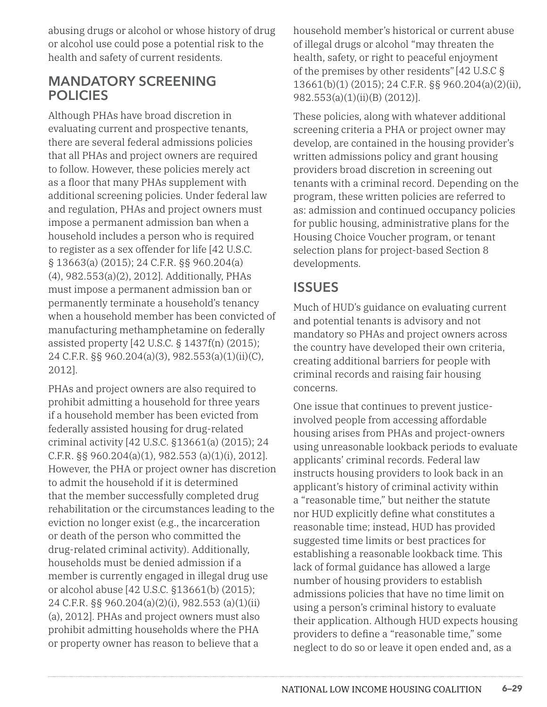abusing drugs or alcohol or whose history of drug or alcohol use could pose a potential risk to the health and safety of current residents.

### **MANDATORY SCREENING POLICIES**

Although PHAs have broad discretion in evaluating current and prospective tenants, there are several federal admissions policies that all PHAs and project owners are required to follow. However, these policies merely act as a floor that many PHAs supplement with additional screening policies. Under federal law and regulation, PHAs and project owners must impose a permanent admission ban when a household includes a person who is required to register as a sex offender for life [42 U.S.C. § 13663(a) (2015); 24 C.F.R. §§ 960.204(a) (4), 982.553(a)(2), 2012]. Additionally, PHAs must impose a permanent admission ban or permanently terminate a household's tenancy when a household member has been convicted of manufacturing methamphetamine on federally assisted property [42 U.S.C. § 1437f(n) (2015); 24 C.F.R. §§ 960.204(a)(3), 982.553(a)(1)(ii)(C), 2012].

PHAs and project owners are also required to prohibit admitting a household for three years if a household member has been evicted from federally assisted housing for drug-related criminal activity [42 U.S.C. §13661(a) (2015); 24 C.F.R. §§ 960.204(a)(1), 982.553 (a)(1)(i), 2012]. However, the PHA or project owner has discretion to admit the household if it is determined that the member successfully completed drug rehabilitation or the circumstances leading to the eviction no longer exist (e.g., the incarceration or death of the person who committed the drug-related criminal activity). Additionally, households must be denied admission if a member is currently engaged in illegal drug use or alcohol abuse [42 U.S.C. §13661(b) (2015); 24 C.F.R. §§ 960.204(a)(2)(i), 982.553 (a)(1)(ii) (a), 2012]. PHAs and project owners must also prohibit admitting households where the PHA or property owner has reason to believe that a

household member's historical or current abuse of illegal drugs or alcohol "may threaten the health, safety, or right to peaceful enjoyment of the premises by other residents" [42 U.S.C § 13661(b)(1) (2015); 24 C.F.R. §§ 960.204(a)(2)(ii), 982.553(a)(1)(ii)(B) (2012)].

These policies, along with whatever additional screening criteria a PHA or project owner may develop, are contained in the housing provider's written admissions policy and grant housing providers broad discretion in screening out tenants with a criminal record. Depending on the program, these written policies are referred to as: admission and continued occupancy policies for public housing, administrative plans for the Housing Choice Voucher program, or tenant selection plans for project-based Section 8 developments.

## **ISSUES**

Much of HUD's guidance on evaluating current and potential tenants is advisory and not mandatory so PHAs and project owners across the country have developed their own criteria, creating additional barriers for people with criminal records and raising fair housing concerns.

One issue that continues to prevent justiceinvolved people from accessing affordable housing arises from PHAs and project-owners using unreasonable lookback periods to evaluate applicants' criminal records. Federal law instructs housing providers to look back in an applicant's history of criminal activity within a "reasonable time," but neither the statute nor HUD explicitly define what constitutes a reasonable time; instead, HUD has provided suggested time limits or best practices for establishing a reasonable lookback time. This lack of formal guidance has allowed a large number of housing providers to establish admissions policies that have no time limit on using a person's criminal history to evaluate their application. Although HUD expects housing providers to define a "reasonable time," some neglect to do so or leave it open ended and, as a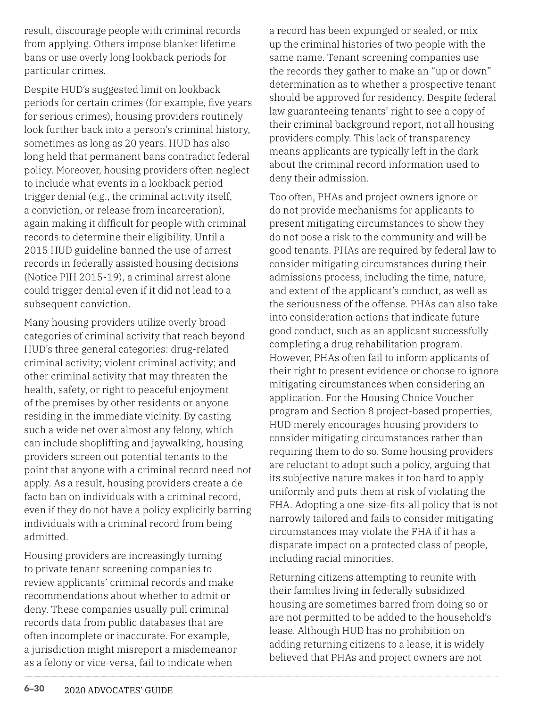result, discourage people with criminal records from applying. Others impose blanket lifetime bans or use overly long lookback periods for particular crimes.

Despite HUD's suggested limit on lookback periods for certain crimes (for example, five years for serious crimes), housing providers routinely look further back into a person's criminal history, sometimes as long as 20 years. HUD has also long held that permanent bans contradict federal policy. Moreover, housing providers often neglect to include what events in a lookback period trigger denial (e.g., the criminal activity itself, a conviction, or release from incarceration), again making it difficult for people with criminal records to determine their eligibility. Until a 2015 HUD guideline banned the use of arrest records in federally assisted housing decisions (Notice PIH 2015-19), a criminal arrest alone could trigger denial even if it did not lead to a subsequent conviction.

Many housing providers utilize overly broad categories of criminal activity that reach beyond HUD's three general categories: drug-related criminal activity; violent criminal activity; and other criminal activity that may threaten the health, safety, or right to peaceful enjoyment of the premises by other residents or anyone residing in the immediate vicinity. By casting such a wide net over almost any felony, which can include shoplifting and jaywalking, housing providers screen out potential tenants to the point that anyone with a criminal record need not apply. As a result, housing providers create a de facto ban on individuals with a criminal record, even if they do not have a policy explicitly barring individuals with a criminal record from being admitted.

Housing providers are increasingly turning to private tenant screening companies to review applicants' criminal records and make recommendations about whether to admit or deny. These companies usually pull criminal records data from public databases that are often incomplete or inaccurate. For example, a jurisdiction might misreport a misdemeanor as a felony or vice-versa, fail to indicate when

a record has been expunged or sealed, or mix up the criminal histories of two people with the same name. Tenant screening companies use the records they gather to make an "up or down" determination as to whether a prospective tenant should be approved for residency. Despite federal law guaranteeing tenants' right to see a copy of their criminal background report, not all housing providers comply. This lack of transparency means applicants are typically left in the dark about the criminal record information used to deny their admission.

Too often, PHAs and project owners ignore or do not provide mechanisms for applicants to present mitigating circumstances to show they do not pose a risk to the community and will be good tenants. PHAs are required by federal law to consider mitigating circumstances during their admissions process, including the time, nature, and extent of the applicant's conduct, as well as the seriousness of the offense. PHAs can also take into consideration actions that indicate future good conduct, such as an applicant successfully completing a drug rehabilitation program. However, PHAs often fail to inform applicants of their right to present evidence or choose to ignore mitigating circumstances when considering an application. For the Housing Choice Voucher program and Section 8 project-based properties, HUD merely encourages housing providers to consider mitigating circumstances rather than requiring them to do so. Some housing providers are reluctant to adopt such a policy, arguing that its subjective nature makes it too hard to apply uniformly and puts them at risk of violating the FHA. Adopting a one-size-fits-all policy that is not narrowly tailored and fails to consider mitigating circumstances may violate the FHA if it has a disparate impact on a protected class of people, including racial minorities.

Returning citizens attempting to reunite with their families living in federally subsidized housing are sometimes barred from doing so or are not permitted to be added to the household's lease. Although HUD has no prohibition on adding returning citizens to a lease, it is widely believed that PHAs and project owners are not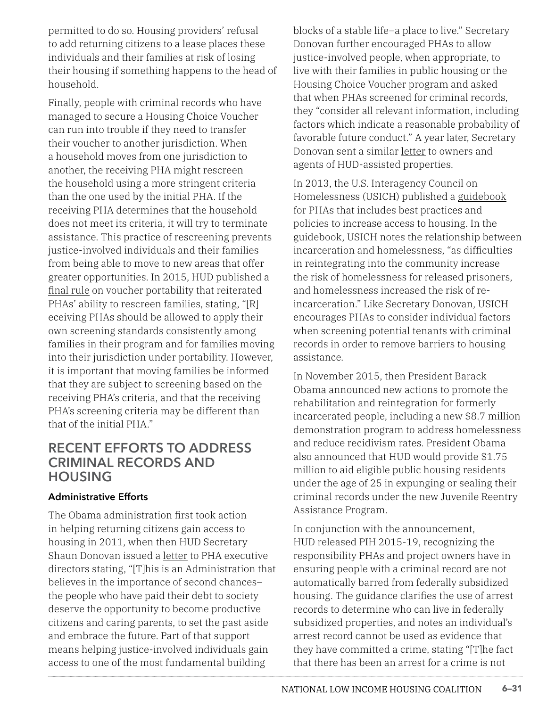permitted to do so. Housing providers' refusal to add returning citizens to a lease places these individuals and their families at risk of losing their housing if something happens to the head of household.

Finally, people with criminal records who have managed to secure a Housing Choice Voucher can run into trouble if they need to transfer their voucher to another jurisdiction. When a household moves from one jurisdiction to another, the receiving PHA might rescreen the household using a more stringent criteria than the one used by the initial PHA. If the receiving PHA determines that the household does not meet its criteria, it will try to terminate assistance. This practice of rescreening prevents justice-involved individuals and their families from being able to move to new areas that offer greater opportunities. In 2015, HUD published a [final rule](https://www.federalregister.gov/documents/2015/08/20/2015-20551/housing-choice-voucher-program-streamlining-the-portability-process) on voucher portability that reiterated PHAs' ability to rescreen families, stating, "[R] eceiving PHAs should be allowed to apply their own screening standards consistently among families in their program and for families moving into their jurisdiction under portability. However, it is important that moving families be informed that they are subject to screening based on the receiving PHA's criteria, and that the receiving PHA's screening criteria may be different than that of the initial PHA."

### **RECENT EFFORTS TO ADDRESS CRIMINAL RECORDS AND HOUSING**

#### **Administrative Efforts**

The Obama administration first took action in helping returning citizens gain access to housing in 2011, when then HUD Secretary Shaun Donovan issued a [letter](https://www.usich.gov/resources/uploads/asset_library/Rentry_letter_from_Donovan_to_PHAs_6-17-11.pdf) to PHA executive directors stating, "[T]his is an Administration that believes in the importance of second chances– the people who have paid their debt to society deserve the opportunity to become productive citizens and caring parents, to set the past aside and embrace the future. Part of that support means helping justice-involved individuals gain access to one of the most fundamental building

blocks of a stable life–a place to live." Secretary Donovan further encouraged PHAs to allow justice-involved people, when appropriate, to live with their families in public housing or the Housing Choice Voucher program and asked that when PHAs screened for criminal records, they "consider all relevant information, including factors which indicate a reasonable probability of favorable future conduct." A year later, Secretary Donovan sent a similar [letter](http://nhlp.org/files/HUD%20Letter%203.14.12.pdf) to owners and agents of HUD-assisted properties.

In 2013, the U.S. Interagency Council on Homelessness (USICH) published a [guidebook](https://www.usich.gov/resources/uploads/asset_library/PHA_Guidebook_Final.pdf) for PHAs that includes best practices and policies to increase access to housing. In the guidebook, USICH notes the relationship between incarceration and homelessness, "as difficulties in reintegrating into the community increase the risk of homelessness for released prisoners, and homelessness increased the risk of reincarceration." Like Secretary Donovan, USICH encourages PHAs to consider individual factors when screening potential tenants with criminal records in order to remove barriers to housing assistance.

In November 2015, then President Barack Obama announced new actions to promote the rehabilitation and reintegration for formerly incarcerated people, including a new \$8.7 million demonstration program to address homelessness and reduce recidivism rates. President Obama also announced that HUD would provide \$1.75 million to aid eligible public housing residents under the age of 25 in expunging or sealing their criminal records under the new Juvenile Reentry Assistance Program.

In conjunction with the announcement, HUD released PIH 2015-19, recognizing the responsibility PHAs and project owners have in ensuring people with a criminal record are not automatically barred from federally subsidized housing. The guidance clarifies the use of arrest records to determine who can live in federally subsidized properties, and notes an individual's arrest record cannot be used as evidence that they have committed a crime, stating "[T]he fact that there has been an arrest for a crime is not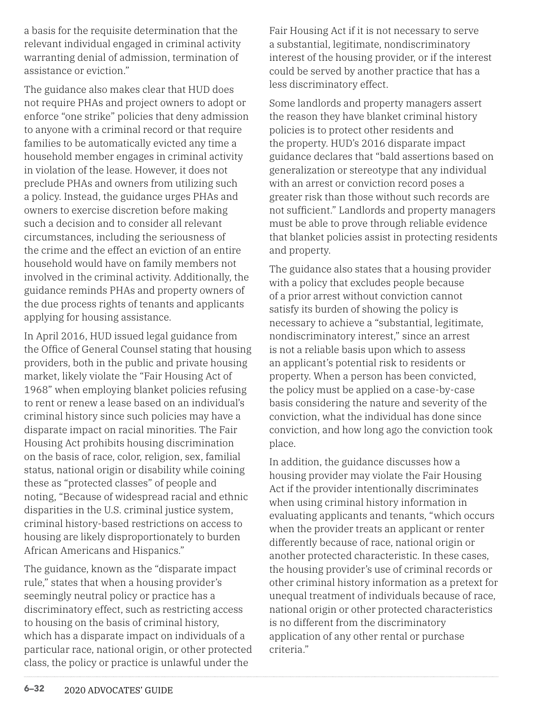a basis for the requisite determination that the relevant individual engaged in criminal activity warranting denial of admission, termination of assistance or eviction."

The guidance also makes clear that HUD does not require PHAs and project owners to adopt or enforce "one strike" policies that deny admission to anyone with a criminal record or that require families to be automatically evicted any time a household member engages in criminal activity in violation of the lease. However, it does not preclude PHAs and owners from utilizing such a policy. Instead, the guidance urges PHAs and owners to exercise discretion before making such a decision and to consider all relevant circumstances, including the seriousness of the crime and the effect an eviction of an entire household would have on family members not involved in the criminal activity. Additionally, the guidance reminds PHAs and property owners of the due process rights of tenants and applicants applying for housing assistance.

In April 2016, HUD issued legal guidance from the Office of General Counsel stating that housing providers, both in the public and private housing market, likely violate the "Fair Housing Act of 1968" when employing blanket policies refusing to rent or renew a lease based on an individual's criminal history since such policies may have a disparate impact on racial minorities. The Fair Housing Act prohibits housing discrimination on the basis of race, color, religion, sex, familial status, national origin or disability while coining these as "protected classes" of people and noting, "Because of widespread racial and ethnic disparities in the U.S. criminal justice system, criminal history-based restrictions on access to housing are likely disproportionately to burden African Americans and Hispanics."

The guidance, known as the "disparate impact rule," states that when a housing provider's seemingly neutral policy or practice has a discriminatory effect, such as restricting access to housing on the basis of criminal history, which has a disparate impact on individuals of a particular race, national origin, or other protected class, the policy or practice is unlawful under the

Fair Housing Act if it is not necessary to serve a substantial, legitimate, nondiscriminatory interest of the housing provider, or if the interest could be served by another practice that has a less discriminatory effect.

Some landlords and property managers assert the reason they have blanket criminal history policies is to protect other residents and the property. HUD's 2016 disparate impact guidance declares that "bald assertions based on generalization or stereotype that any individual with an arrest or conviction record poses a greater risk than those without such records are not sufficient." Landlords and property managers must be able to prove through reliable evidence that blanket policies assist in protecting residents and property.

The guidance also states that a housing provider with a policy that excludes people because of a prior arrest without conviction cannot satisfy its burden of showing the policy is necessary to achieve a "substantial, legitimate, nondiscriminatory interest," since an arrest is not a reliable basis upon which to assess an applicant's potential risk to residents or property. When a person has been convicted, the policy must be applied on a case-by-case basis considering the nature and severity of the conviction, what the individual has done since conviction, and how long ago the conviction took place.

In addition, the guidance discusses how a housing provider may violate the Fair Housing Act if the provider intentionally discriminates when using criminal history information in evaluating applicants and tenants, "which occurs when the provider treats an applicant or renter differently because of race, national origin or another protected characteristic. In these cases, the housing provider's use of criminal records or other criminal history information as a pretext for unequal treatment of individuals because of race, national origin or other protected characteristics is no different from the discriminatory application of any other rental or purchase criteria."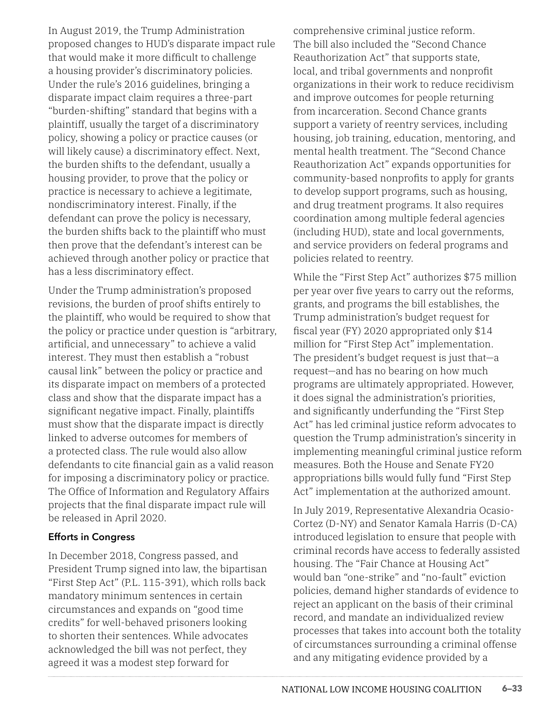In August 2019, the Trump Administration proposed changes to HUD's disparate impact rule that would make it more difficult to challenge a housing provider's discriminatory policies. Under the rule's 2016 guidelines, bringing a disparate impact claim requires a three-part "burden-shifting" standard that begins with a plaintiff, usually the target of a discriminatory policy, showing a policy or practice causes (or will likely cause) a discriminatory effect. Next, the burden shifts to the defendant, usually a housing provider, to prove that the policy or practice is necessary to achieve a legitimate, nondiscriminatory interest. Finally, if the defendant can prove the policy is necessary, the burden shifts back to the plaintiff who must then prove that the defendant's interest can be achieved through another policy or practice that has a less discriminatory effect.

Under the Trump administration's proposed revisions, the burden of proof shifts entirely to the plaintiff, who would be required to show that the policy or practice under question is "arbitrary, artificial, and unnecessary" to achieve a valid interest. They must then establish a "robust causal link" between the policy or practice and its disparate impact on members of a protected class and show that the disparate impact has a significant negative impact. Finally, plaintiffs must show that the disparate impact is directly linked to adverse outcomes for members of a protected class. The rule would also allow defendants to cite financial gain as a valid reason for imposing a discriminatory policy or practice. The Office of Information and Regulatory Affairs projects that the final disparate impact rule will be released in April 2020.

#### **Efforts in Congress**

In December 2018, Congress passed, and President Trump signed into law, the bipartisan "First Step Act" (P.L. 115-391), which rolls back mandatory minimum sentences in certain circumstances and expands on "good time credits" for well-behaved prisoners looking to shorten their sentences. While advocates acknowledged the bill was not perfect, they agreed it was a modest step forward for

comprehensive criminal justice reform. The bill also included the "Second Chance Reauthorization Act" that supports state, local, and tribal governments and nonprofit organizations in their work to reduce recidivism and improve outcomes for people returning from incarceration. Second Chance grants support a variety of reentry services, including housing, job training, education, mentoring, and mental health treatment. The "Second Chance Reauthorization Act" expands opportunities for community-based nonprofits to apply for grants to develop support programs, such as housing, and drug treatment programs. It also requires coordination among multiple federal agencies (including HUD), state and local governments, and service providers on federal programs and policies related to reentry.

While the "First Step Act" authorizes \$75 million per year over five years to carry out the reforms, grants, and programs the bill establishes, the Trump administration's budget request for fiscal year (FY) 2020 appropriated only \$14 million for "First Step Act" implementation. The president's budget request is just that—a request—and has no bearing on how much programs are ultimately appropriated. However, it does signal the administration's priorities, and significantly underfunding the "First Step Act" has led criminal justice reform advocates to question the Trump administration's sincerity in implementing meaningful criminal justice reform measures. Both the House and Senate FY20 appropriations bills would fully fund "First Step Act" implementation at the authorized amount.

In July 2019, Representative Alexandria Ocasio-Cortez (D-NY) and Senator Kamala Harris (D-CA) introduced legislation to ensure that people with criminal records have access to federally assisted housing. The "Fair Chance at Housing Act" would ban "one-strike" and "no-fault" eviction policies, demand higher standards of evidence to reject an applicant on the basis of their criminal record, and mandate an individualized review processes that takes into account both the totality of circumstances surrounding a criminal offense and any mitigating evidence provided by a